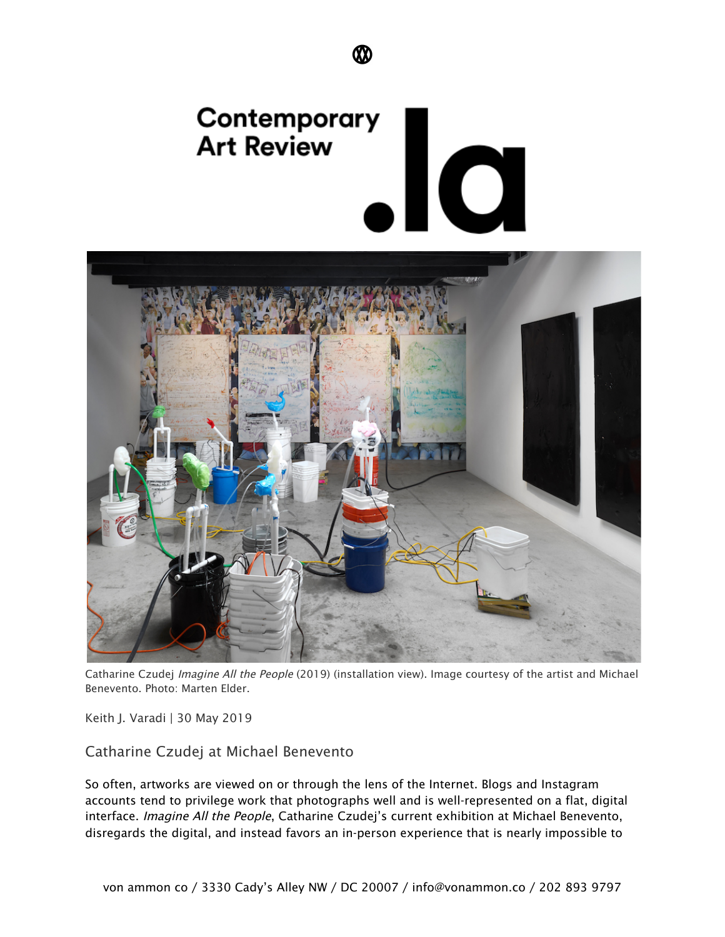



Catharine Czudej Imagine All the People (2019) (installation view). Image courtesy of the artist and Michael Benevento. Photo: Marten Elder.

Keith J. Varadi | 30 May 2019

Catharine Czudej at Michael Benevento

So often, artworks are viewed on or through the lens of the Internet. Blogs and Instagram accounts tend to privilege work that photographs well and is well-represented on a flat, digital interface. Imagine All the People, Catharine Czudej's current exhibition at Michael Benevento, disregards the digital, and instead favors an in-person experience that is nearly impossible to